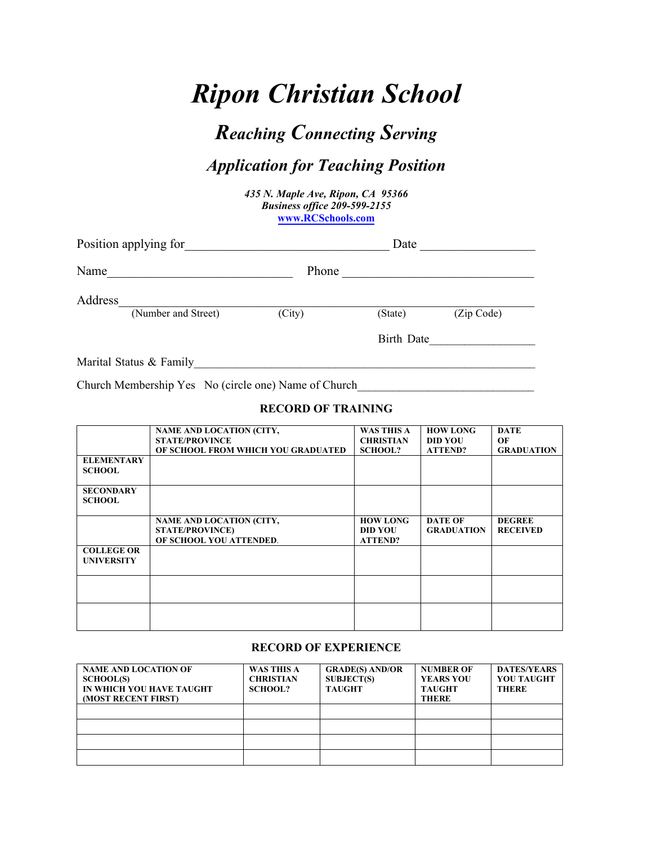# *Ripon Christian School*

## *Reaching Connecting Serving*

### *Application for Teaching Position*

*435 N. Maple Ave, Ripon, CA 95366 Business office 209-599-2155*  **www.RCSchools.com**

| Position applying for |                         | Date   |            |            |
|-----------------------|-------------------------|--------|------------|------------|
| Name                  |                         | Phone  |            |            |
| Address               | (Number and Street)     | (City) | (State)    | (Zip Code) |
|                       |                         |        | Birth Date |            |
|                       | Marital Status & Family |        |            |            |

Church Membership Yes No (circle one) Name of Church

#### **RECORD OF TRAINING**

|                                        | NAME AND LOCATION (CITY,<br><b>STATE/PROVINCE</b><br>OF SCHOOL FROM WHICH YOU GRADUATED | <b>WAS THIS A</b><br><b>CHRISTIAN</b><br><b>SCHOOL?</b> | <b>HOW LONG</b><br><b>DID YOU</b><br><b>ATTEND?</b> | <b>DATE</b><br>OF<br><b>GRADUATION</b> |
|----------------------------------------|-----------------------------------------------------------------------------------------|---------------------------------------------------------|-----------------------------------------------------|----------------------------------------|
| <b>ELEMENTARY</b><br><b>SCHOOL</b>     |                                                                                         |                                                         |                                                     |                                        |
| <b>SECONDARY</b><br><b>SCHOOL</b>      |                                                                                         |                                                         |                                                     |                                        |
|                                        | NAME AND LOCATION (CITY,<br><b>STATE/PROVINCE)</b><br>OF SCHOOL YOU ATTENDED.           | <b>HOW LONG</b><br><b>DID YOU</b><br><b>ATTEND?</b>     | <b>DATE OF</b><br><b>GRADUATION</b>                 | <b>DEGREE</b><br><b>RECEIVED</b>       |
| <b>COLLEGE OR</b><br><b>UNIVERSITY</b> |                                                                                         |                                                         |                                                     |                                        |
|                                        |                                                                                         |                                                         |                                                     |                                        |
|                                        |                                                                                         |                                                         |                                                     |                                        |

#### **RECORD OF EXPERIENCE**

| <b>NAME AND LOCATION OF</b><br><b>SCHOOL(S)</b><br>IN WHICH YOU HAVE TAUGHT<br><b>(MOST RECENT FIRST)</b> | <b>WAS THIS A</b><br><b>CHRISTIAN</b><br><b>SCHOOL?</b> | <b>GRADE(S) AND/OR</b><br><b>SUBJECT(S)</b><br><b>TAUGHT</b> | <b>NUMBER OF</b><br><b>YEARS YOU</b><br><b>TAUGHT</b><br><b>THERE</b> | <b>DATES/YEARS</b><br><b>YOU TAUGHT</b><br><b>THERE</b> |
|-----------------------------------------------------------------------------------------------------------|---------------------------------------------------------|--------------------------------------------------------------|-----------------------------------------------------------------------|---------------------------------------------------------|
|                                                                                                           |                                                         |                                                              |                                                                       |                                                         |
|                                                                                                           |                                                         |                                                              |                                                                       |                                                         |
|                                                                                                           |                                                         |                                                              |                                                                       |                                                         |
|                                                                                                           |                                                         |                                                              |                                                                       |                                                         |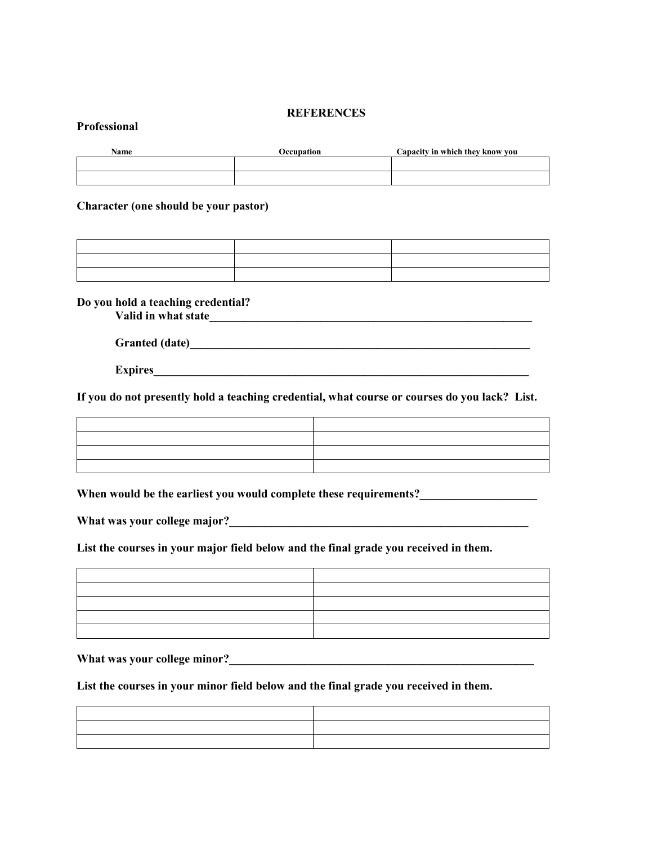#### **REFERENCES**

#### **Professional**

| Name | Occupation | Capacity in which they know you |
|------|------------|---------------------------------|
|      |            |                                 |
|      |            |                                 |

#### **Character (one should be your pastor)**

**Do you hold a teaching credential?**

**Valid in what state\_\_\_\_\_\_\_\_\_\_\_\_\_\_\_\_\_\_\_\_\_\_\_\_\_\_\_\_\_\_\_\_\_\_\_\_\_\_\_\_\_\_\_\_\_\_\_\_\_\_\_\_\_\_\_**

**Granted (date)\_\_\_\_\_\_\_\_\_\_\_\_\_\_\_\_\_\_\_\_\_\_\_\_\_\_\_\_\_\_\_\_\_\_\_\_\_\_\_\_\_\_\_\_\_\_\_\_\_\_\_\_\_\_\_\_\_\_** 

**Expires** 

**If you do not presently hold a teaching credential, what course or courses do you lack? List.**

When would be the earliest you would complete these requirements?\_\_\_\_\_\_\_\_\_\_\_\_\_\_\_\_

**What was your college major?\_\_\_\_\_\_\_\_\_\_\_\_\_\_\_\_\_\_\_\_\_\_\_\_\_\_\_\_\_\_\_\_\_\_\_\_\_\_\_\_\_\_\_\_\_\_\_\_\_\_\_**

**List the courses in your major field below and the final grade you received in them.**

| $\sim$ |  |
|--------|--|
|        |  |
|        |  |
|        |  |
|        |  |

What was your college minor?

**List the courses in your minor field below and the final grade you received in them.**

| the contract of the contract of the contract of the contract of the contract of the contract of |  |
|-------------------------------------------------------------------------------------------------|--|
| the contract of the contract of the contract of                                                 |  |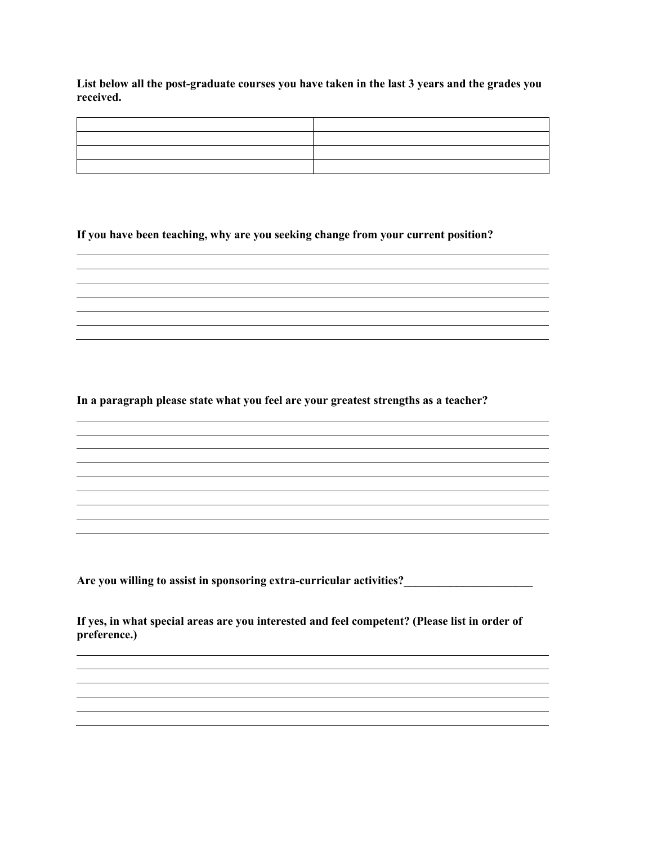**List below all the post-graduate courses you have taken in the last 3 years and the grades you received.**

<u> 1989 - Johann Stoff, amerikansk politiker (\* 1908)</u>

<u> 1989 - Johann Stoff, amerikansk politiker (\* 1908)</u>

<u> 1989 - Johann Stoff, amerikansk politiker (\* 1908)</u>

**If you have been teaching, why are you seeking change from your current position?**

**In a paragraph please state what you feel are your greatest strengths as a teacher?**

**Are you willing to assist in sponsoring extra-curricular activities?\_\_\_\_\_\_\_\_\_\_\_\_\_\_\_\_\_\_\_\_\_\_** 

**If yes, in what special areas are you interested and feel competent? (Please list in order of preference.)**

<u> 1980 - Johann Barbara, martin amerikan basar dan berasal dalam basa dalam basar dalam basar dalam basar dala</u>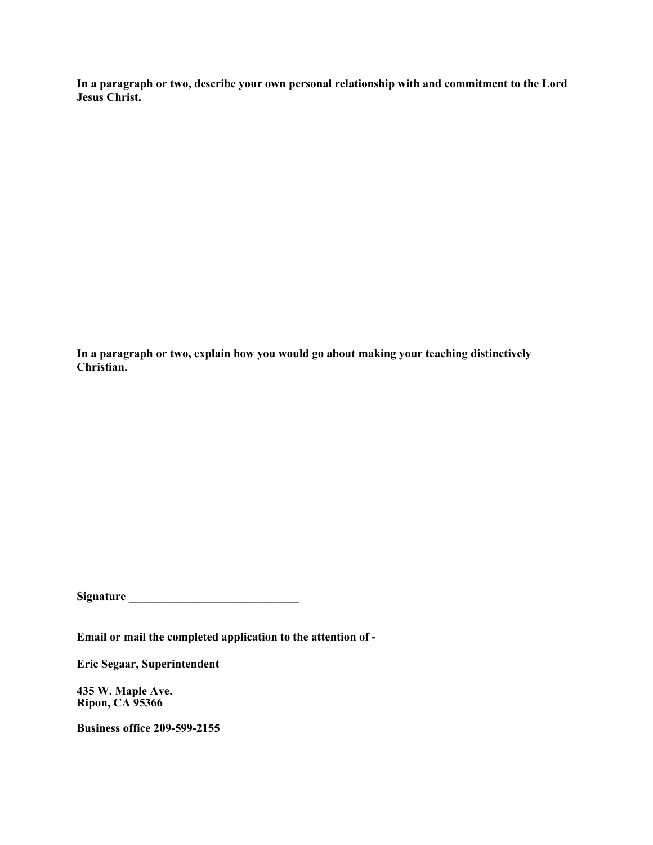**In a paragraph or two, describe your own personal relationship with and commitment to the Lord Jesus Christ.**

**In a paragraph or two, explain how you would go about making your teaching distinctively Christian.**

**Signature \_\_\_\_\_\_\_\_\_\_\_\_\_\_\_\_\_\_\_\_\_\_\_\_\_\_\_\_\_** 

**Email or mail the completed application to the attention of -**

**Eric Segaar, Superintendent**

**435 W. Maple Ave. Ripon, CA 95366**

**Business office 209-599-2155**